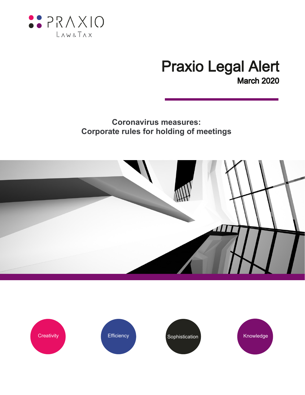

# **Praxio Legal Alert March 2020**

# **Coronavirus measures: Corporate rules for holding of meetings**



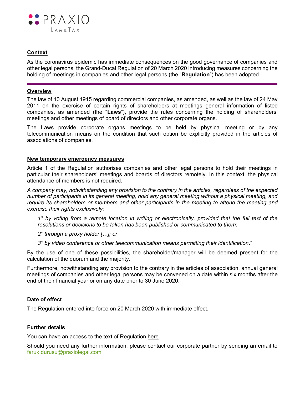

# **Context**

As the coronavirus epidemic has immediate consequences on the good governance of companies and other legal persons, the Grand-Ducal Regulation of 20 March 2020 introducing measures concerning the holding of meetings in companies and other legal persons (the "**Regulation**") has been adopted.

#### **Overview**

The law of 10 August 1915 regarding commercial companies, as amended, as well as the law of 24 May 2011 on the exercise of certain rights of shareholders at meetings general information of listed companies, as amended (the "**Laws**"), provide the rules concerning the holding of shareholders' meetings and other meetings of board of directors and other corporate organs.

The Laws provide corporate organs meetings to be held by physical meeting or by any telecommunication means on the condition that such option be explicitly provided in the articles of associations of companies.

#### **New temporary emergency measures**

Article 1 of the Regulation authorises companies and other legal persons to hold their meetings in particular their shareholders' meetings and boards of directors remotely. In this context, the physical attendance of members is not required.

*A company may, notwithstanding any provision to the contrary in the articles, regardless of the expected number of participants in its general meeting, hold any general meeting without a physical meeting, and require its shareholders or members and other participants in the meeting to attend the meeting and exercise their rights exclusively:*

*1° by voting from a remote location in writing or electronically, provided that the full text of the resolutions or decisions to be taken has been published or communicated to them;*

*2° through a proxy holder […]; or*

*3° by video conference or other telecommunication means permitting their identification*."

By the use of one of these possibilities, the shareholder/manager will be deemed present for the calculation of the quorum and the majority.

Furthermore, notwithstanding any provision to the contrary in the articles of association, annual general meetings of companies and other legal persons may be convened on a date within six months after the end of their financial year or on any date prior to 30 June 2020.

## **Date of effect**

The Regulation entered into force on 20 March 2020 with immediate effect.

## **Further details**

You can have an access to the text of Regulation [here.](http://www.legilux.lu/eli/etat/leg/rgd/2020/03/20/a171/jo)

Should you need any further information, please contact our corporate partner by sending an email to [faruk.durusu@praxiolegal.com](file://///fileserver.spscloud.local/CL006226$/Personal/fellamy_CL006226/_OfficeAutoSave/Outlook/Temp/faruk.durusu@praxiolegal.com)